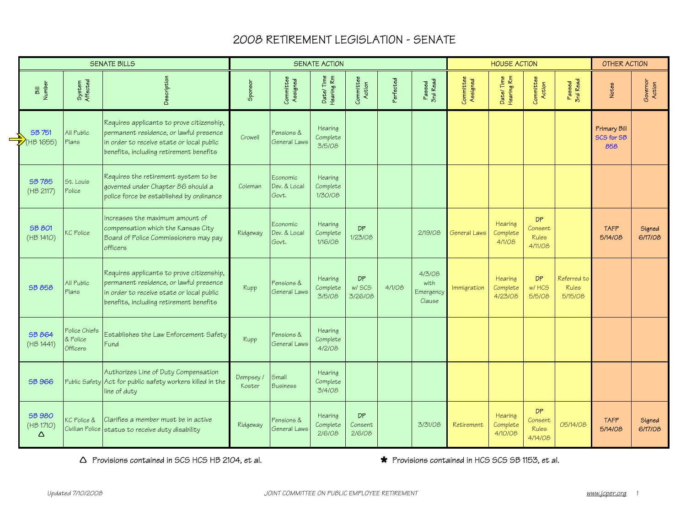# 2008 RETIREMENT LEGISLATION - SENATE

|                                 |                                       | <b>SENATE BILLS</b>                                                                                                                                                          |                     |                                   | SENATE ACTION                  |                         |           |                                       |                       | <b>HOUSE ACTION</b>            |                                                 |                                        | OTHER ACTION                      |                    |
|---------------------------------|---------------------------------------|------------------------------------------------------------------------------------------------------------------------------------------------------------------------------|---------------------|-----------------------------------|--------------------------------|-------------------------|-----------|---------------------------------------|-----------------------|--------------------------------|-------------------------------------------------|----------------------------------------|-----------------------------------|--------------------|
| Bill<br>Number                  | System<br>Affected                    | Description                                                                                                                                                                  | Sponsor             | Committee<br>Assigned             | Date/Time<br>Hearing Rm        | Committee<br>Action     | Perfected | Passed<br>3rd Read                    | Committee<br>Assigned | Date/Time<br>Hearing Rm        | Committee<br>Action                             | Passed<br>3rd Read                     | Notes                             | Governor<br>Action |
| SB 751<br>(HB 1655)             | All Public<br>Plans                   | Requires applicants to prove citizenship,<br>permanent residence, or lawful presence<br>in order to receive state or local public<br>benefits, including retirement benefits | Crowell             | Pensions &<br>General Laws        | Hearing<br>Complete<br>3/5/08  |                         |           |                                       |                       |                                |                                                 |                                        | Primary Bill<br>SCS for SB<br>858 |                    |
| <b>SB 785</b><br>(HB 2117)      | St. Louis<br>Police                   | Requires the retirement system to be<br>governed under Chapter 86 should a<br>police force be established by ordinance                                                       | Coleman             | Economic<br>Dev. & Local<br>Govt. | Hearing<br>Complete<br>1/30/08 |                         |           |                                       |                       |                                |                                                 |                                        |                                   |                    |
| <b>SB 801</b><br>(HB 1410)      | KC Police                             | Increases the maximum amount of<br>compensation which the Kansas City<br>Board of Police Commissioners may pay<br>officers                                                   | Ridgeway            | Economic<br>Dev. & Local<br>Govt. | Hearing<br>Complete<br>1/16/08 | <b>DP</b><br>1/23/08    |           | 2/19/08                               | General Laws          | Hearing<br>Complete<br>4/1/08  | <b>DP</b><br>Consent<br><b>Rules</b><br>4/11/08 |                                        | <b>TAFP</b><br>5/14/08            | Signed<br>6/17/08  |
| <b>SB 858</b>                   | All Public<br>Plans                   | Requires applicants to prove citizenship,<br>permanent residence, or lawful presence<br>in order to receive state or local public<br>benefits, including retirement benefits | Rupp                | Pensions &<br>General Laws        | Hearing<br>Complete<br>3/5/08  | DP<br>w/ SCS<br>3/26/08 | 4/1/08    | 4/3/08<br>with<br>Emergency<br>Clause | Immigration           | Hearing<br>Complete<br>4/23/08 | <b>DP</b><br>w/HCS<br>5/5/08                    | Referred to<br><b>Rules</b><br>5/15/08 |                                   |                    |
| <b>SB 864</b><br>(HB 1441)      | Police Chiefs<br>& Police<br>Officers | Establishes the Law Enforcement Safety<br>Fund                                                                                                                               | Rupp                | Pensions &<br>General Laws        | Hearing<br>Complete<br>4/2/08  |                         |           |                                       |                       |                                |                                                 |                                        |                                   |                    |
| <b>SB 966</b>                   |                                       | Authorizes Line of Duty Compensation<br>Public Safety Act for public safety workers killed in the<br>line of duty                                                            | Dempsey /<br>Koster | Small<br><b>Business</b>          | Hearing<br>Complete<br>3/4/08  |                         |           |                                       |                       |                                |                                                 |                                        |                                   |                    |
| <b>SB 980</b><br>(HB 1710)<br>Δ | KC Police &<br>Civilian Police        | Clarifies a member must be in active<br>status to receive duty disability                                                                                                    | Ridgeway            | Pensions &<br>General Laws        | Hearing<br>Complete<br>2/6/08  | DP<br>Consent<br>2/6/08 |           | 3/31/08                               | Retirement            | Hearing<br>Complete<br>4/10/08 | DP<br>Consent<br><b>Rules</b><br>4/14/08        | 05/14/08                               | <b>TAFP</b><br>5/14/08            | Signed<br>6/17/08  |

 $\Delta$  Provisions contained in SCS HCS HB 2104, et al.  $\bullet$  **\*** Provisions contained in HCS SCS SB 1153, et al.

 $\overline{\mathbb{V}}$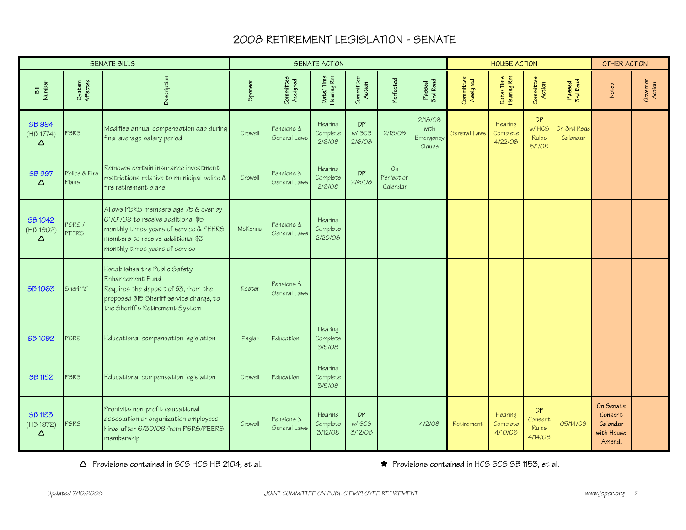# 2008 RETIREMENT LEGISLATION - SENATE

|                                  |                        | <b>SENATE BILLS</b>                                                                                                                                                                         |         |                            | <b>SENATE ACTION</b>           |                         |                              |                                        |                       | <b>HOUSE ACTION</b>            |                                   |                         | OTHER ACTION                                             |                    |
|----------------------------------|------------------------|---------------------------------------------------------------------------------------------------------------------------------------------------------------------------------------------|---------|----------------------------|--------------------------------|-------------------------|------------------------------|----------------------------------------|-----------------------|--------------------------------|-----------------------------------|-------------------------|----------------------------------------------------------|--------------------|
| Bill<br>Number                   | System<br>Affected     | Description                                                                                                                                                                                 | Sponsor | Committee<br>Assigned      | Date/Time<br>Hearing Rm        | Committee<br>Action     | Perfected                    | Passed<br>3rd Read                     | Committee<br>Assigned | Date/Time<br>Hearing Rm        | Committee<br>Action               | Paeed<br>3rd Read       | <b>Notes</b>                                             | Governor<br>Action |
| <b>SB 994</b><br>(HB 1774)<br>Δ  | <b>PSRS</b>            | Modifies annual compensation cap during<br>final average salary period                                                                                                                      | Crowell | Pensions &<br>General Laws | Hearing<br>Complete<br>2/6/08  | DP<br>w/ SCS<br>2/6/08  | 2/13/08                      | 2/18/08<br>with<br>Emergency<br>Clause | General Laws          | Hearing<br>Complete<br>4/22/08 | DP<br>w/ HCS<br>Rules<br>5/1/08   | On 3rd Read<br>Calendar |                                                          |                    |
| <b>SB 997</b><br>Δ               | Police & Fire<br>Plans | Removes certain insurance investment<br>restrictions relative to municipal police &<br>fire retirement plans                                                                                | Crowell | Pensions &<br>General Laws | Hearing<br>Complete<br>2/6/08  | DP<br>2/6/08            | On<br>Perfection<br>Calendar |                                        |                       |                                |                                   |                         |                                                          |                    |
| SB 1042<br>(HB 1902)<br>Δ        | PSRS /<br><b>PEERS</b> | Allows PSRS members age 75 & over by<br>01/01/09 to receive additional \$5<br>monthly times years of service & PEERS<br>members to receive additional \$3<br>monthly times years of service | McKenna | Pensions &<br>General Lawe | Hearing<br>Complete<br>2/20/08 |                         |                              |                                        |                       |                                |                                   |                         |                                                          |                    |
| <b>SB1063</b>                    | Sheriffs'              | Establishes the Public Safety<br>Enhancement Fund<br>Requires the deposit of \$3, from the<br>proposed \$15 Sheriff service charge, to<br>the Sheriff's Retirement System                   | Koster  | Pensions &<br>General Laws |                                |                         |                              |                                        |                       |                                |                                   |                         |                                                          |                    |
| SB 1092                          | <b>PSRS</b>            | Educational compensation legislation                                                                                                                                                        | Engler  | Education                  | Hearing<br>Complete<br>3/5/08  |                         |                              |                                        |                       |                                |                                   |                         |                                                          |                    |
| <b>SB 1152</b>                   | <b>PSRS</b>            | Educational compensation legislation                                                                                                                                                        | Crowell | Education                  | Hearing<br>Complete<br>3/5/08  |                         |                              |                                        |                       |                                |                                   |                         |                                                          |                    |
| <b>SB 1153</b><br>(HB 1972)<br>Δ | <b>PSRS</b>            | Prohibits non-profit educational<br>association or organization employees<br>hired after 6/30/09 from PSRS/PEERS<br>membership                                                              | Crowell | Pensions &<br>General Lawe | Hearing<br>Complete<br>3/12/08 | DP<br>w/ SCS<br>3/12/08 |                              | 4/2/08                                 | Retirement            | Hearing<br>Complete<br>4/10/08 | DP<br>Consent<br>Rules<br>4/14/08 | 05/14/08                | On Senate<br>Consent<br>Calendar<br>with House<br>Amend. |                    |

 $\Delta$  Provisions contained in SCS HCS HB 2104, et al.  $\bullet$  Provisions contained in HCS SCS SB 1153, et al.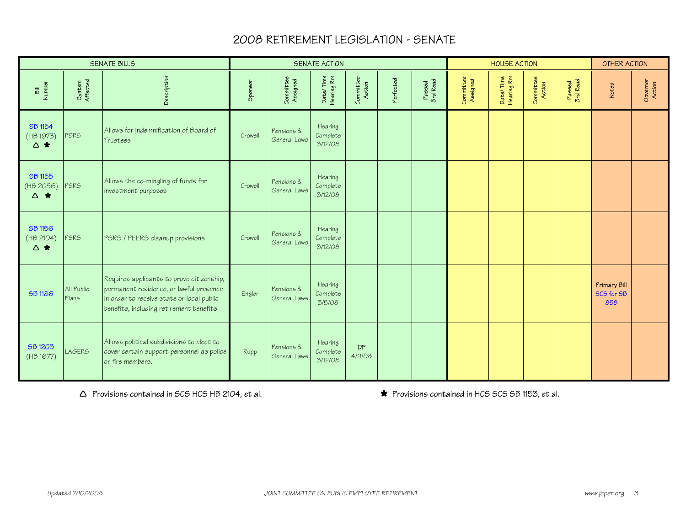## 2008 RETIREMENT LEGISLATION - SENATE

|                                       |                     | <b>SENATE BILLS</b>                                                                                                                                                          |         |                            | <b>SENATE ACTION</b>           |                     |           |                    |                       | <b>HOUSE ACTION</b>     |                     |                    | OTHER ACTION                      |                    |
|---------------------------------------|---------------------|------------------------------------------------------------------------------------------------------------------------------------------------------------------------------|---------|----------------------------|--------------------------------|---------------------|-----------|--------------------|-----------------------|-------------------------|---------------------|--------------------|-----------------------------------|--------------------|
| Bill<br>Number                        | System<br>Affected  | Description                                                                                                                                                                  | Sponsor | Committee<br>Assigned      | Date/Time<br>Hearing Rm        | Committee<br>Action | Perfected | Passed<br>3rd Read | Committee<br>Assigned | Date/Time<br>Hearing Rm | Committee<br>Action | Passed<br>3rd Read | Notes                             | Governor<br>Action |
| <b>SB 1154</b><br>(HB 1973)<br>△ ★    | PSRS                | Allows for indemnification of Board of<br>Trustees                                                                                                                           | Crowell | Pensions &<br>General Laws | Hearing<br>Complete<br>3/12/08 |                     |           |                    |                       |                         |                     |                    |                                   |                    |
| SB 1155<br>(HB 2056)<br>$\triangle$ * | PSRS                | Allows the co-mingling of funds for<br>investment purposes                                                                                                                   | Crowell | Pensions &<br>General Laws | Hearing<br>Complete<br>3/12/08 |                     |           |                    |                       |                         |                     |                    |                                   |                    |
| SB 1156<br>(HB 2104)<br>△ ★           | PSRS                | PSRS / PEERS cleanup provisions                                                                                                                                              | Crowell | Pensions &<br>General Laws | Hearing<br>Complete<br>3/12/08 |                     |           |                    |                       |                         |                     |                    |                                   |                    |
| <b>SB1186</b>                         | All Public<br>Plans | Requires applicants to prove citizenship,<br>permanent residence, or lawful presence<br>in order to receive state or local public<br>benefits, including retirement benefits | Engler  | Pensions &<br>General Laws | Hearing<br>Complete<br>3/5/08  |                     |           |                    |                       |                         |                     |                    | Primary Bill<br>SCS for SB<br>858 |                    |
| SB 1203<br>(HB 1677)                  | <b>LAGERS</b>       | Allows political subdivisions to elect to<br>cover certain support personnel as police<br>or fire members.                                                                   | Rupp    | Pensions &<br>General Laws | Hearing<br>Complete<br>3/12/08 | DP<br>4/9/08        |           |                    |                       |                         |                     |                    |                                   |                    |

 $\triangle$  Provisions contained in SCS HCS HB 2104, et al.  $\bullet$  Provisions contained in HCS SCS SB 1153, et al.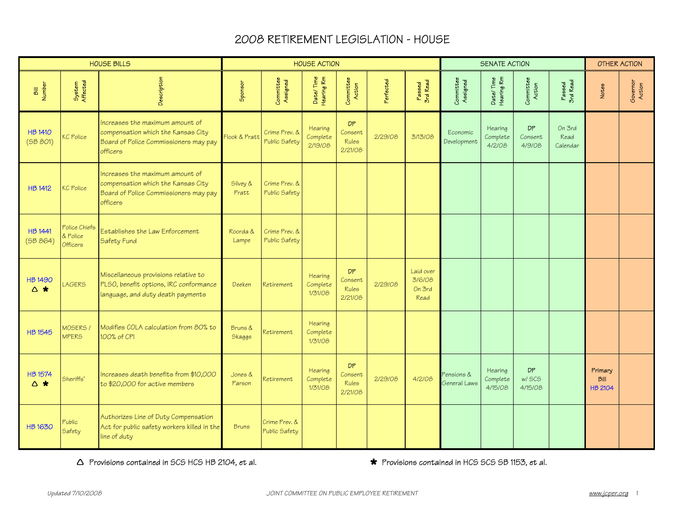|                            |                                       | <b>HOUSE BILLS</b>                                                                                                         |                   |                                | <b>HOUSE ACTION</b>            |                                                 |           |                                       |                            | <b>SENATE ACTION</b>           |                                      |                            |                                          | <b>OTHER ACTION</b> |
|----------------------------|---------------------------------------|----------------------------------------------------------------------------------------------------------------------------|-------------------|--------------------------------|--------------------------------|-------------------------------------------------|-----------|---------------------------------------|----------------------------|--------------------------------|--------------------------------------|----------------------------|------------------------------------------|---------------------|
| Bill<br>Number             | System<br>Affected                    | Description                                                                                                                | Sponsor           | Committee<br>Assigned          | Date/Time<br>Hearing Rm        | Committee<br>Action                             | Perfected | Passed<br>3rd Read                    | Committee<br>Assigned      | Date/Time<br>Hearing Rm        | Committee<br>Action                  | Passed<br>3rd Read         | Notes                                    | Governor<br>Action  |
| <b>HB 1410</b><br>(5B 801) | KC Police                             | Increases the maximum amount of<br>compensation which the Kansas City<br>Board of Police Commissioners may pay<br>officers | Flook & Pratt     | Crime Prev. &<br>Public Safety | Hearing<br>Complete<br>2/19/08 | <b>DP</b><br>Consent<br><b>Rules</b><br>2/21/08 | 2/29/08   | 3/13/08                               | Economic<br>Development    | Hearing<br>Complete<br>4/2/08  | DP<br>Consent<br>4/9/08              | On 3rd<br>Read<br>Calendar |                                          |                     |
| <b>HB 1412</b>             | KC Police                             | Increases the maximum amount of<br>compensation which the Kansas City<br>Board of Police Commissioners may pay<br>officers | Silvey &<br>Pratt | Crime Prev. &<br>Public Safety |                                |                                                 |           |                                       |                            |                                |                                      |                            |                                          |                     |
| <b>HB 1441</b><br>(5B 864) | Police Chiefs<br>& Police<br>Officers | Establishes the Law Enforcement<br>Safety Fund                                                                             | Roorda &<br>Lampe | Crime Prev. &<br>Public Safety |                                |                                                 |           |                                       |                            |                                |                                      |                            |                                          |                     |
| <b>HB 1490</b><br>△ ★      | <b>LAGERS</b>                         | Miscellaneous provisions relative to<br>PLSO, benefit options, IRC conformance<br>language, and duty death payments        | Deeken            | Retirement                     | Hearing<br>Complete<br>1/31/08 | <b>DP</b><br>Consent<br><b>Rules</b><br>2/21/08 | 2/29/08   | Laid over<br>3/6/08<br>On 3rd<br>Read |                            |                                |                                      |                            |                                          |                     |
| <b>HB 1545</b>             | MOSERS /<br><b>MPERS</b>              | Modifies COLA calculation from 80% to<br>100% of CPI                                                                       | Bruns &<br>Skaggs | Retirement                     | Hearing<br>Complete<br>1/31/08 |                                                 |           |                                       |                            |                                |                                      |                            |                                          |                     |
| <b>HB 1574</b><br>△ ★      | Sheriffs'                             | Increases death benefits from \$10,000<br>to \$20,000 for active members                                                   | Jones &<br>Parson | Retirement                     | Hearing<br>Complete<br>1/31/08 | <b>DP</b><br>Consent<br><b>Rules</b><br>2/21/08 | 2/29/08   | 4/2/08                                | Pensions &<br>General Laws | Hearing<br>Complete<br>4/15/08 | <b>DP</b><br><b>w/SCS</b><br>4/15/08 |                            | Primary<br><b>Bill</b><br><b>HB 2104</b> |                     |
| <b>HB1630</b>              | Public<br>Safety                      | Authorizes Line of Duty Compensation<br>Act for public safety workers killed in the<br>line of duty                        | <b>Bruns</b>      | Crime Prev. &<br>Public Safety |                                |                                                 |           |                                       |                            |                                |                                      |                            |                                          |                     |

 $\triangle$  Provisions contained in SCS HCS HB 2104, et al.  $\bullet$  **\*** Provisions contained in HCS SCS SB 1153, et al.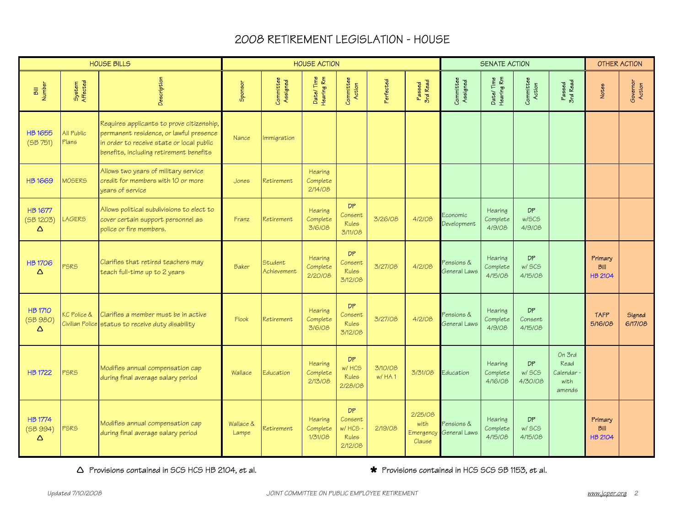|                                        |                     | <b>HOUSE BILLS</b>                                                                                                                                                           |                    |                        | <b>HOUSE ACTION</b>            |                                                    |                    |                                        |                            | <b>SENATE ACTION</b>           |                          |                                              |                                          | OTHER ACTION       |
|----------------------------------------|---------------------|------------------------------------------------------------------------------------------------------------------------------------------------------------------------------|--------------------|------------------------|--------------------------------|----------------------------------------------------|--------------------|----------------------------------------|----------------------------|--------------------------------|--------------------------|----------------------------------------------|------------------------------------------|--------------------|
| Bill<br>Number                         | System<br>Affected  | Description                                                                                                                                                                  | Sponsor            | Committee<br>Assigned  | Date/Time<br>Hearing Rm        | Committee<br>Action                                | Perfected          | Passed<br>3rd Read                     | Committee<br>Assigned      | Date/Time<br>Hearing Rm        | Committee<br>Action      | Passed<br>3rd Read                           | Notes                                    | Governor<br>Action |
| <b>HB1655</b><br>(5B 751)              | All Public<br>Plans | Requires applicants to prove citizenship,<br>permanent residence, or lawful presence<br>in order to receive state or local public<br>benefits, including retirement benefits | Nance              | Immigration            |                                |                                                    |                    |                                        |                            |                                |                          |                                              |                                          |                    |
| <b>HB1669</b>                          | <b>MOSERS</b>       | Allows two years of military service<br>credit for members with 10 or more<br>vears of service                                                                               | Jones              | Retirement             | Hearing<br>Complete<br>2/14/08 |                                                    |                    |                                        |                            |                                |                          |                                              |                                          |                    |
| <b>HB1677</b><br>(5B1203)<br>Δ         | <b>LAGERS</b>       | Allows political subdivisions to elect to<br>cover certain support personnel as<br>police or fire members.                                                                   | Franz              | Retirement             | Hearing<br>Complete<br>3/6/08  | DP<br>Consent<br>Rules<br>3/11/08                  | 3/26/08            | 4/2/08                                 | Economic<br>Development    | Hearing<br>Complete<br>4/9/08  | DP<br>w/SCS<br>4/9/08    |                                              |                                          |                    |
| <b>HB1706</b><br>Δ                     | <b>PSRS</b>         | Clarifies that retired teachers may<br>teach full-time up to 2 years                                                                                                         | Baker              | Student<br>Achievement | Hearing<br>Complete<br>2/20/08 | <b>DP</b><br>Consent<br>Rules<br>3/12/08           | 3/27/08            | 4/2/08                                 | Pensions &<br>General Laws | Hearing<br>Complete<br>4/15/08 | DP<br>w/ SCS<br>4/15/08  |                                              | Primary<br><b>Bill</b><br><b>HB 2104</b> |                    |
| <b>HB 1710</b><br>(5B980)<br>$\Delta$  | KC Police &         | Clarifies a member must be in active<br>Civilian Police status to receive duty disability                                                                                    | Flook              | Retirement             | Hearing<br>Complete<br>3/6/08  | DP<br>Consent<br><b>Rules</b><br>3/12/08           | 3/27/08            | 4/2/08                                 | Pensions &<br>General Laws | Hearing<br>Complete<br>4/9/08  | DP<br>Consent<br>4/15/08 |                                              | <b>TAFP</b><br>5/16/08                   | Signed<br>6/17/08  |
| <b>HB 1722</b>                         | <b>PSRS</b>         | Modifies annual compensation cap<br>during final average salary period                                                                                                       | Wallace            | Education              | Hearing<br>Complete<br>2/13/08 | DP<br>w/ HCS<br><b>Rules</b><br>2/28/08            | 3/10/08<br>$W$ HA1 | 3/31/08                                | Education                  | Hearing<br>Complete<br>4/16/08 | DP<br>w/ SCS<br>4/30/08  | On 3rd<br>Read<br>Calendar<br>with<br>amends |                                          |                    |
| <b>HB 1774</b><br>(5B 994)<br>$\Delta$ | <b>PSRS</b>         | Modifies annual compensation cap<br>during final average salary period                                                                                                       | Wallace &<br>Lampe | Retirement             | Hearing<br>Complete<br>1/31/08 | DP<br>Consent<br>w/ HCS<br><b>Rules</b><br>2/12/08 | 2/19/08            | 2/25/08<br>with<br>Emergency<br>Clause | Pensions &<br>General Laws | Hearing<br>Complete<br>4/15/08 | DP<br>w/ SCS<br>4/15/08  |                                              | Primary<br>Bill<br><b>HB 2104</b>        |                    |

 $\triangle$  Provisions contained in SCS HCS HB 2104, et al.  $\bullet$  Provisions contained in HCS SCS SB 1153, et al.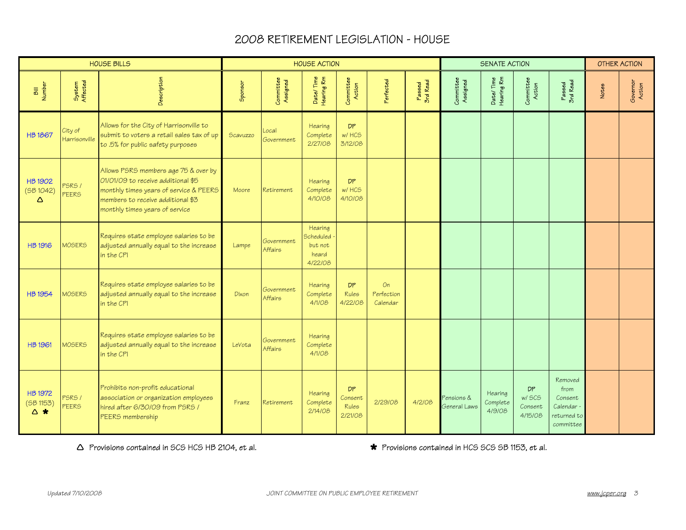|                                        |                          | <b>HOUSE BILLS</b>                                                                                                                                                                          |          |                              | <b>HOUSE ACTION</b>                                        |                                          |                              |                    |                            | <b>SENATE ACTION</b>          |                                                 |                                                                      |       | <b>OTHER ACTION</b> |
|----------------------------------------|--------------------------|---------------------------------------------------------------------------------------------------------------------------------------------------------------------------------------------|----------|------------------------------|------------------------------------------------------------|------------------------------------------|------------------------------|--------------------|----------------------------|-------------------------------|-------------------------------------------------|----------------------------------------------------------------------|-------|---------------------|
| <b>Number</b>                          | System<br>Affected       | Description                                                                                                                                                                                 | Sponsor  | Committee<br>Assigned        | Date/Time<br>Hearing Rm                                    | Committee<br>Action                      | <sup>2</sup> erfected        | Passed<br>3rd Read | Committee<br>Assigned      | Date/Time<br>Hearing Rm       | Committee<br>Action                             | Passed<br>3rd Read                                                   | Notes | Governor<br>Action  |
| <b>HB1867</b>                          | City of<br>Harrisonville | Allows for the City of Harrisonville to<br>submit to voters a retail sales tax of up<br>to .5% for public safety purposes                                                                   | Scavuzzo | Local<br>Government          | Hearing<br>Complete<br>2/27/08                             | <b>DP</b><br>w/ HCS<br>3/12/08           |                              |                    |                            |                               |                                                 |                                                                      |       |                     |
| <b>HB 1902</b><br>(5B1042)<br>$\Delta$ | PSRS /<br><b>PEERS</b>   | Allows PSRS members age 75 & over by<br>01/01/09 to receive additional \$5<br>monthly times years of service & PEERS<br>members to receive additional \$3<br>monthly times years of service | Moore    | Retirement                   | Hearing<br>Complete<br>4/10/08                             | <b>DP</b><br>w/ HCS<br>4/10/08           |                              |                    |                            |                               |                                                 |                                                                      |       |                     |
| <b>HB 1916</b>                         | <b>MOSERS</b>            | Requires state employee salaries to be<br>adjusted annually equal to the increase<br>in the CPI                                                                                             | Lampe    | Government<br><b>Affairs</b> | Hearing<br><b>Scheduled</b><br>but not<br>heard<br>4/22/08 |                                          |                              |                    |                            |                               |                                                 |                                                                      |       |                     |
| <b>HB 1954</b>                         | <b>MOSERS</b>            | Requires state employee salaries to be<br>adjusted annually equal to the increase<br>in the CPI                                                                                             | Dixon    | Government<br>Affairs        | Hearing<br>Complete<br>4/1/08                              | DP<br>Rules<br>4/22/08                   | On<br>Perfection<br>Calendar |                    |                            |                               |                                                 |                                                                      |       |                     |
| <b>HB 1961</b>                         | <b>MOSERS</b>            | Requires state employee salaries to be<br>adjusted annually equal to the increase<br>in the CPI                                                                                             | LeVota   | Government<br><b>Affairs</b> | Hearing<br>Complete<br>4/1/08                              |                                          |                              |                    |                            |                               |                                                 |                                                                      |       |                     |
| <b>HB 1972</b><br>(5B1153)<br>△ ★      | PSRS /<br>PEERS          | Prohibits non-profit educational<br>association or organization employees<br>hired after 6/30/09 from PSRS /<br>PEERS membership                                                            | Franz    | Retirement                   | Hearing<br>Complete<br>2/14/08                             | <b>DP</b><br>Consent<br>Rules<br>2/21/08 | 2/29/08                      | 4/2/08             | Pensions &<br>General Laws | Hearing<br>Complete<br>4/9/08 | <b>DP</b><br><b>w/SCS</b><br>Consent<br>4/15/08 | Removed<br>from<br>Consent<br>Calendar -<br>returned to<br>committee |       |                     |

Ì Provisions contained in SCS HCS HB 2104, et al. » Provisions contained in HCS SCS SB 1153, et al.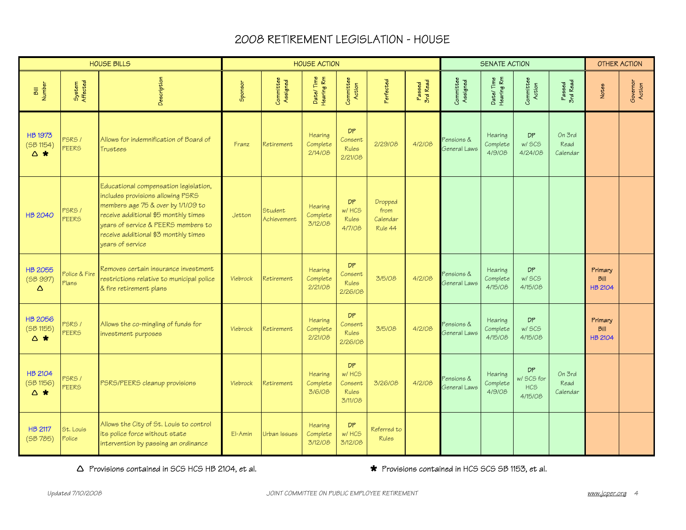|                                    |                        | <b>HOUSE BILLS</b>                                                                                                                                                                                                                                          |                 |                        | <b>HOUSE ACTION</b>            |                                                   |                                        |                    |                            | <b>SENATE ACTION</b>           |                                                  |                            |                                          | <b>OTHER ACTION</b> |
|------------------------------------|------------------------|-------------------------------------------------------------------------------------------------------------------------------------------------------------------------------------------------------------------------------------------------------------|-----------------|------------------------|--------------------------------|---------------------------------------------------|----------------------------------------|--------------------|----------------------------|--------------------------------|--------------------------------------------------|----------------------------|------------------------------------------|---------------------|
| Number                             | System<br>Affected     | Description                                                                                                                                                                                                                                                 | Sponsor         | Committee<br>Assigned  | Date/Time<br>Hearing Rm        | Committee<br>Action                               | Perfected                              | Passed<br>3rd Read | Committee<br>Assigned      | Date/Time<br>Hearing Rm        | Committee<br>Action                              | Passed<br>3rd Read         | Notes                                    | Governor<br>Action  |
| <b>HB 1973</b><br>(5B 1154)<br>△ ★ | PSRS /<br><b>PEERS</b> | Allows for indemnification of Board of<br>Trustees                                                                                                                                                                                                          | Franz           | Retirement             | Hearing<br>Complete<br>2/14/08 | DP<br>Consent<br>Rules<br>2/21/08                 | 2/29/08                                | 4/2/08             | Pensions &<br>General Laws | Hearing<br>Complete<br>4/9/08  | <b>DP</b><br>w/ SCS<br>4/24/08                   | On 3rd<br>Read<br>Calendar |                                          |                     |
| <b>HB 2040</b>                     | PSRS /<br>PEERS        | Educational compensation legislation,<br>includes provisions allowing PSRS<br>members age 75 & over by 1/1/09 to<br>receive additional \$5 monthly times<br>years of service & PEERS members to<br>receive additional \$3 monthly times<br>vears of service | Jetton          | Student<br>Achievement | Hearing<br>Complete<br>3/12/08 | <b>DP</b><br>w/ HCS<br><b>Rules</b><br>4/7/08     | Dropped<br>from<br>Calendar<br>Rule 44 |                    |                            |                                |                                                  |                            |                                          |                     |
| <b>HB 2055</b><br>(SB 997)<br>Δ    | Police & Fire<br>Plans | Removes certain insurance investment<br>restrictions relative to municipal police<br>& fire retirement plans                                                                                                                                                | <b>Viebrock</b> | Retirement             | Hearing<br>Complete<br>2/21/08 | DP<br>Consent<br><b>Rules</b><br>2/26/08          | 3/5/08                                 | 4/2/08             | Pensions &<br>General Laws | Hearing<br>Complete<br>4/15/08 | <b>DP</b><br><b>w/SCS</b><br>4/15/08             |                            | Primary<br><b>Bill</b><br><b>HB 2104</b> |                     |
| <b>HB 2056</b><br>(5B1155)<br>△ ★  | PSRS /<br><b>PEERS</b> | Allows the co-mingling of funds for<br>investment purposes                                                                                                                                                                                                  | <b>Viebrock</b> | Retirement             | Hearing<br>Complete<br>2/21/08 | DP.<br>Consent<br><b>Rules</b><br>2/26/08         | 3/5/08                                 | 4/2/08             | Pensions &<br>General Laws | Hearing<br>Complete<br>4/15/08 | <b>DP</b><br><b>w/SCS</b><br>4/15/08             |                            | Primary<br><b>Bill</b><br><b>HB 2104</b> |                     |
| <b>HB 2104</b><br>(5B 1156)<br>△ ★ | PSRS /<br><b>PEERS</b> | PSRS/PEERS cleanup provisions                                                                                                                                                                                                                               | <b>Viebrock</b> | Retirement             | Hearing<br>Complete<br>3/6/08  | DP<br>w/HCS<br>Consent<br><b>Rules</b><br>3/11/08 | 3/26/08                                | 4/2/08             | Pensions &<br>General Laws | Hearing<br>Complete<br>4/9/08  | <b>DP</b><br>w/ SCS for<br><b>HCS</b><br>4/15/08 | On 3rd<br>Read<br>Calendar |                                          |                     |
| <b>HB 2117</b><br>(5B785)          | St. Louis<br>Police    | Allows the City of St. Louis to control<br>its police force without state<br>intervention by passing an ordinance                                                                                                                                           | El-Amin         | Urban Issues           | Hearing<br>Complete<br>3/12/08 | DP<br>w/ HCS<br>3/12/08                           | Referred to<br><b>Rules</b>            |                    |                            |                                |                                                  |                            |                                          |                     |

 $\triangle$  Provisions contained in SCS HCS HB 2104, et al.  $\bullet$  **\*** Provisions contained in HCS SCS SB 1153, et al.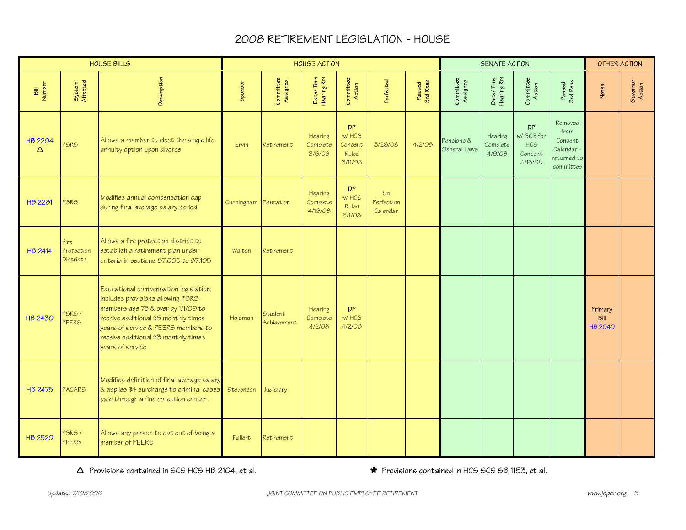|                      |                                        | <b>HOUSE BILLS</b>                                                                                                                                                                                                                                          |                      |                        | <b>HOUSE ACTION</b>            |                                              |                              |                    |                            | <b>SENATE ACTION</b>          |                                                             |                                                                      |                                          | <b>OTHER ACTION</b> |
|----------------------|----------------------------------------|-------------------------------------------------------------------------------------------------------------------------------------------------------------------------------------------------------------------------------------------------------------|----------------------|------------------------|--------------------------------|----------------------------------------------|------------------------------|--------------------|----------------------------|-------------------------------|-------------------------------------------------------------|----------------------------------------------------------------------|------------------------------------------|---------------------|
| <b>Number</b><br>БII | System<br>Affected                     | Description                                                                                                                                                                                                                                                 | Sponsor              | Committee<br>Assigned  | Date/Time<br>Hearing Rm        | Committee<br>Action                          | <sup>2</sup> erfected        | Passed<br>3rd Read | Committee<br>Assigned      | Date/Time<br>Hearing Rm       | Committee<br>Action                                         | Passed<br>3rd Read                                                   | Notes                                    | Governor<br>Action  |
| <b>HB 2204</b><br>Δ  | <b>PSRS</b>                            | Allows a member to elect the single life<br>annuity option upon divorce                                                                                                                                                                                     | Ervin                | Retirement             | Hearing<br>Complete<br>3/6/08  | DP.<br>w/ HCS<br>Consent<br>Rules<br>3/11/08 | 3/26/08                      | 4/2/08             | Pensions &<br>General Laws | Hearing<br>Complete<br>4/9/08 | <b>DP</b><br>w/ SCS for<br><b>HCS</b><br>Consent<br>4/15/08 | Removed<br>from<br>Consent<br>Calendar -<br>returned to<br>committee |                                          |                     |
| <b>HB 2281</b>       | <b>PSRS</b>                            | Modifies annual compensation cap<br>during final average salary period                                                                                                                                                                                      | Cunningham Education |                        | Hearing<br>Complete<br>4/16/08 | DP.<br>w/ HCS<br><b>Rules</b><br>5/1/08      | On<br>Perfection<br>Calendar |                    |                            |                               |                                                             |                                                                      |                                          |                     |
| <b>HB 2414</b>       | Fire<br>Protection<br><b>Districts</b> | Allows a fire protection district to<br>establish a retirement plan under<br>criteria in sections 87.005 to 87.105                                                                                                                                          | Walton               | Retirement             |                                |                                              |                              |                    |                            |                               |                                                             |                                                                      |                                          |                     |
| <b>HB 2430</b>       | <b>PSRS /</b><br><b>PEERS</b>          | Educational compensation legislation,<br>includes provisions allowing PSRS<br>members age 75 & over by 1/1/09 to<br>receive additional \$5 monthly times<br>years of service & PEERS members to<br>receive additional \$3 monthly times<br>vears of service | Holsman              | Student<br>Achievement | Hearing<br>Complete<br>4/2/08  | DP<br>w/ HCS<br>4/2/08                       |                              |                    |                            |                               |                                                             |                                                                      | Primary<br><b>Bill</b><br><b>HB 2040</b> |                     |
| <b>HB 2475</b>       | <b>PACARS</b>                          | Modifies definition of final average salary<br>& applies \$4 surcharge to criminal cases<br>paid through a fine collection center.                                                                                                                          | Stevenson            | Judiciary              |                                |                                              |                              |                    |                            |                               |                                                             |                                                                      |                                          |                     |
| <b>HB 2520</b>       | PSRS/<br><b>PEERS</b>                  | Allows any person to opt out of being a<br>member of PEERS                                                                                                                                                                                                  | Fallert              | Retirement             |                                |                                              |                              |                    |                            |                               |                                                             |                                                                      |                                          |                     |

 $\Delta$  Provisions contained in SCS HCS HB 2104, et al.  $\bullet$  **\*** Provisions contained in HCS SCS SB 1153, et al.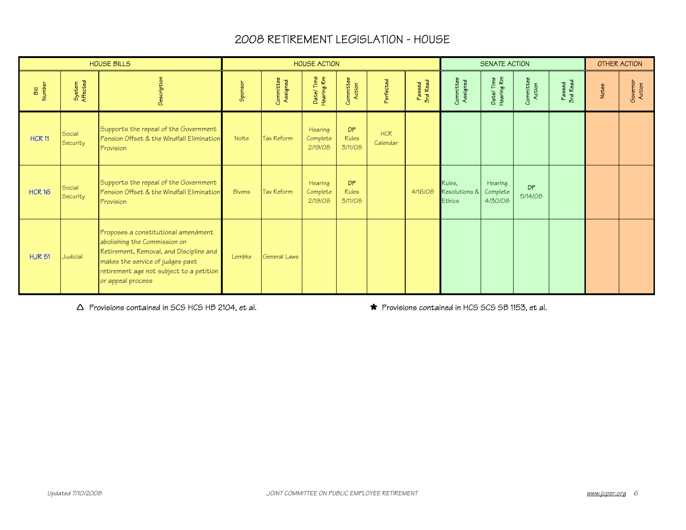|                |                           | <b>HOUSE BILLS</b>                                                                                                                                                                                                  |         |                       | <b>HOUSE ACTION</b>            |                                      |                        |                    |                                   | <b>SENATE ACTION</b>           |                      |                    |       | OTHER ACTION       |
|----------------|---------------------------|---------------------------------------------------------------------------------------------------------------------------------------------------------------------------------------------------------------------|---------|-----------------------|--------------------------------|--------------------------------------|------------------------|--------------------|-----------------------------------|--------------------------------|----------------------|--------------------|-------|--------------------|
| Bill<br>Number | System<br>Affected        | Description                                                                                                                                                                                                         | Sponsor | Committee<br>Assigned | Date/Time<br>Hearing Rm        | Committee<br>Action                  | <sup>2</sup> erfected  | Passed<br>3rd Read | Committee<br>Assigned             | Date/Time<br>Hearing Rm        | Committee<br>Action  | Passed<br>3rd Read | Notes | Governor<br>Action |
| <b>HCR 11</b>  | Social<br>Security        | Supports the repeal of the Government<br>Pension Offset & the Windfall Elimination<br>Provision                                                                                                                     | Nolte   | <b>Tax Reform</b>     | Hearing<br>Complete<br>2/19/08 | <b>DP</b><br><b>Rules</b><br>3/11/08 | <b>HCR</b><br>Calendar |                    |                                   |                                |                      |                    |       |                    |
| <b>HCR 16</b>  | Social<br><b>Security</b> | Supports the repeal of the Government<br>Pension Offset & the Windfall Elimination<br>Provision                                                                                                                     | Bivens  | Tax Reform            | Hearing<br>Complete<br>2/19/08 | <b>DP</b><br><b>Rules</b><br>3/11/08 |                        | 4/16/08            | Rules,<br>Resolutions &<br>Ethics | Hearing<br>Complete<br>4/30/08 | <b>DP</b><br>5/14/08 |                    |       |                    |
| <b>HJR51</b>   | Judicial                  | Proposes a constitutional amendment<br>abolishing the Commission on<br>Retirement, Removal, and Discipline and<br>makes the service of judges past<br>retirement age not subject to a petition<br>or appeal process | Lembke  | General Laws          |                                |                                      |                        |                    |                                   |                                |                      |                    |       |                    |

 $\Delta$  Provisions contained in SCS HCS HB 2104, et al.  $\bullet$  **\*** Provisions contained in HCS SCS SB 1153, et al.